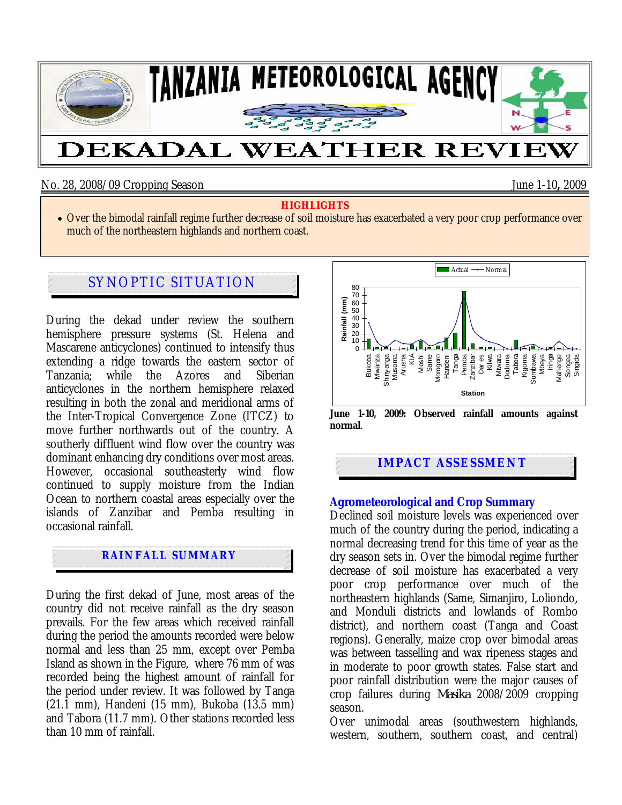

No. 28, 2008/09 Cropping Season June 1-10**,** 2009

#### **HIGHLIGHTS**

• Over the bimodal rainfall regime further decrease of soil moisture has exacerbated a very poor crop performance over much of the northeastern highlands and northern coast.

# SYNOPTIC SITUATION

During the dekad under review the southern hemisphere pressure systems (St. Helena and Mascarene anticyclones) continued to intensify thus extending a ridge towards the eastern sector of Tanzania; while the Azores and Siberian anticyclones in the northern hemisphere relaxed resulting in both the zonal and meridional arms of the Inter-Tropical Convergence Zone (ITCZ) to move further northwards out of the country. A southerly diffluent wind flow over the country was dominant enhancing dry conditions over most areas. However, occasional southeasterly wind flow continued to supply moisture from the Indian Ocean to northern coastal areas especially over the islands of Zanzibar and Pemba resulting in occasional rainfall.

## **RAINFALL SUMMARY**

During the first dekad of June, most areas of the country did not receive rainfall as the dry season prevails. For the few areas which received rainfall during the period the amounts recorded were below normal and less than 25 mm, except over Pemba Island as shown in the Figure, where 76 mm of was recorded being the highest amount of rainfall for the period under review. It was followed by Tanga (21.1 mm), Handeni (15 mm), Bukoba (13.5 mm) and Tabora (11.7 mm). Other stations recorded less than 10 mm of rainfall.



**normal**.

**IMPACT ASSESSMENT** 

#### **Agrometeorological and Crop Summary**

Declined soil moisture levels was experienced over much of the country during the period, indicating a normal decreasing trend for this time of year as the dry season sets in. Over the bimodal regime further decrease of soil moisture has exacerbated a very poor crop performance over much of the northeastern highlands (Same, Simanjiro, Loliondo, and Monduli districts and lowlands of Rombo district), and northern coast (Tanga and Coast regions). Generally, maize crop over bimodal areas was between tasselling and wax ripeness stages and in moderate to poor growth states. False start and poor rainfall distribution were the major causes of crop failures during *Masika* 2008/2009 cropping season.

Over unimodal areas (southwestern highlands, western, southern, southern coast, and central)